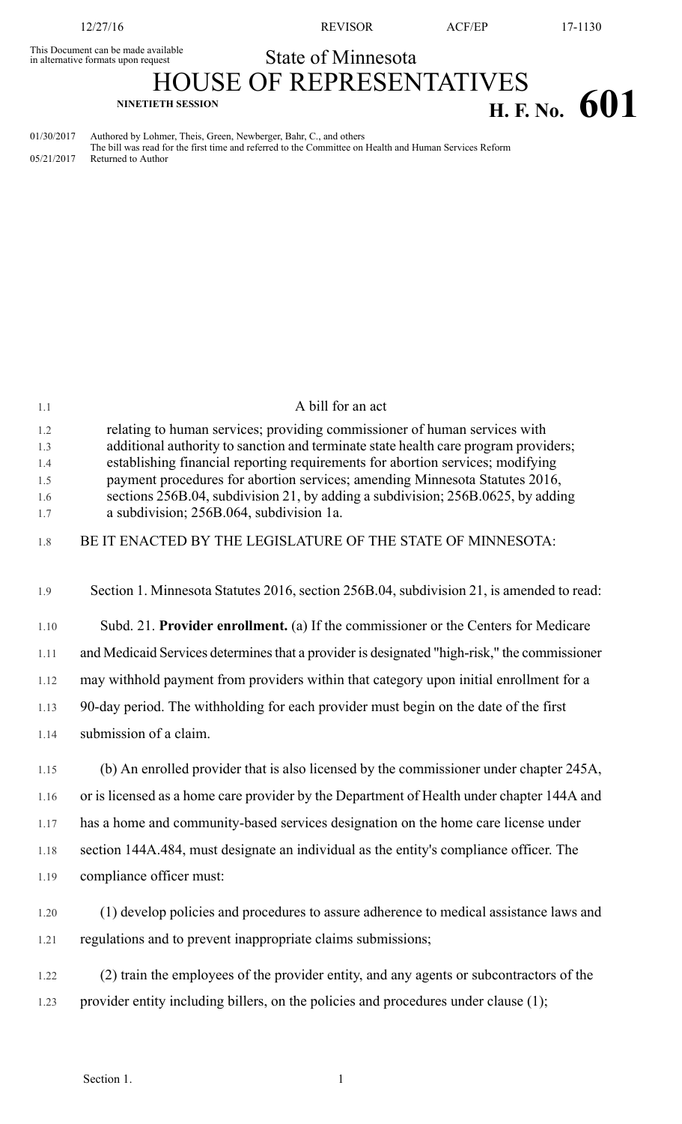This Document can be made available<br>in alternative formats upon request

12/27/16 REVISOR ACF/EP 17-1130

## State of Minnesota

HOUSE OF REPRESENTATIVES **H. F. No. 601** 

01/30/2017 Authored by Lohmer, Theis, Green, Newberger, Bahr, C., and others The bill was read for the first time and referred to the Committee on Health and Human Services Reform 05/21/2017 Returned to Author

| 1.1        | A bill for an act                                                                                                           |
|------------|-----------------------------------------------------------------------------------------------------------------------------|
| 1.2        | relating to human services; providing commissioner of human services with                                                   |
| 1.3        | additional authority to sanction and terminate state health care program providers;                                         |
| 1.4        | establishing financial reporting requirements for abortion services; modifying                                              |
| 1.5        | payment procedures for abortion services; amending Minnesota Statutes 2016,                                                 |
| 1.6<br>1.7 | sections 256B.04, subdivision 21, by adding a subdivision; 256B.0625, by adding<br>a subdivision; 256B.064, subdivision 1a. |
| 1.8        | BE IT ENACTED BY THE LEGISLATURE OF THE STATE OF MINNESOTA:                                                                 |
| 1.9        | Section 1. Minnesota Statutes 2016, section 256B.04, subdivision 21, is amended to read:                                    |
| 1.10       | Subd. 21. Provider enrollment. (a) If the commissioner or the Centers for Medicare                                          |
| 1.11       | and Medicaid Services determines that a provider is designated "high-risk," the commissioner                                |
| 1.12       | may withhold payment from providers within that category upon initial enrollment for a                                      |
| 1.13       | 90-day period. The withholding for each provider must begin on the date of the first                                        |
| 1.14       | submission of a claim.                                                                                                      |
| 1.15       | (b) An enrolled provider that is also licensed by the commissioner under chapter 245A,                                      |
| 1.16       | or is licensed as a home care provider by the Department of Health under chapter 144A and                                   |
| 1.17       | has a home and community-based services designation on the home care license under                                          |
| 1.18       | section 144A.484, must designate an individual as the entity's compliance officer. The                                      |
| 1.19       | compliance officer must:                                                                                                    |
| 1.20       | (1) develop policies and procedures to assure adherence to medical assistance laws and                                      |
| 1.21       | regulations and to prevent inappropriate claims submissions;                                                                |
| 1.22       | (2) train the employees of the provider entity, and any agents or subcontractors of the                                     |
|            |                                                                                                                             |
| 1.23       | provider entity including billers, on the policies and procedures under clause (1);                                         |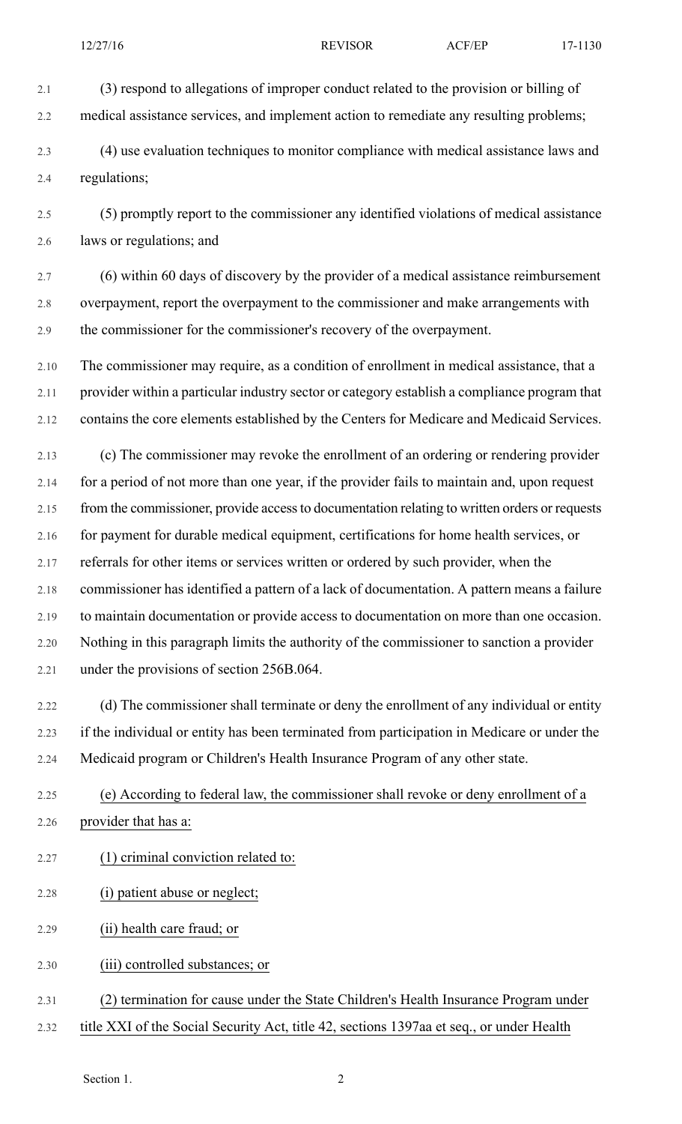2.1 (3) respond to allegations of improper conduct related to the provision or billing of 2.2 medical assistance services, and implement action to remediate any resulting problems;

2.3 (4) use evaluation techniques to monitor compliance with medical assistance laws and 2.4 regulations;

2.5 (5) promptly report to the commissioner any identified violations of medical assistance 2.6 laws or regulations; and

2.7 (6) within 60 days of discovery by the provider of a medical assistance reimbursement 2.8 overpayment, report the overpayment to the commissioner and make arrangements with 2.9 the commissioner for the commissioner's recovery of the overpayment.

2.10 The commissioner may require, as a condition of enrollment in medical assistance, that a 2.11 provider within a particular industry sector or category establish a compliance program that 2.12 contains the core elements established by the Centers for Medicare and Medicaid Services.

2.13 (c) The commissioner may revoke the enrollment of an ordering or rendering provider 2.14 for a period of not more than one year, if the provider fails to maintain and, upon request 2.15 from the commissioner, provide access to documentation relating to written orders or requests 2.16 for payment for durable medical equipment, certifications for home health services, or 2.17 referrals for other items or services written or ordered by such provider, when the 2.18 commissioner has identified a pattern of a lack of documentation. A pattern means a failure 2.19 to maintain documentation or provide access to documentation on more than one occasion. 2.20 Nothing in this paragraph limits the authority of the commissioner to sanction a provider 2.21 under the provisions of section 256B.064.

2.22 (d) The commissioner shall terminate or deny the enrollment of any individual or entity 2.23 if the individual or entity has been terminated from participation in Medicare or under the 2.24 Medicaid program or Children's Health Insurance Program of any other state.

2.25 (e) According to federal law, the commissioner shall revoke or deny enrollment of a 2.26 provider that has a:

2.27 (1) criminal conviction related to:

- 2.28 (i) patient abuse or neglect;
- 2.29 (ii) health care fraud; or

2.30 (iii) controlled substances; or

- 2.31 (2) termination for cause under the State Children's Health Insurance Program under
- 2.32 title XXI of the Social Security Act, title 42, sections 1397aa et seq., or under Health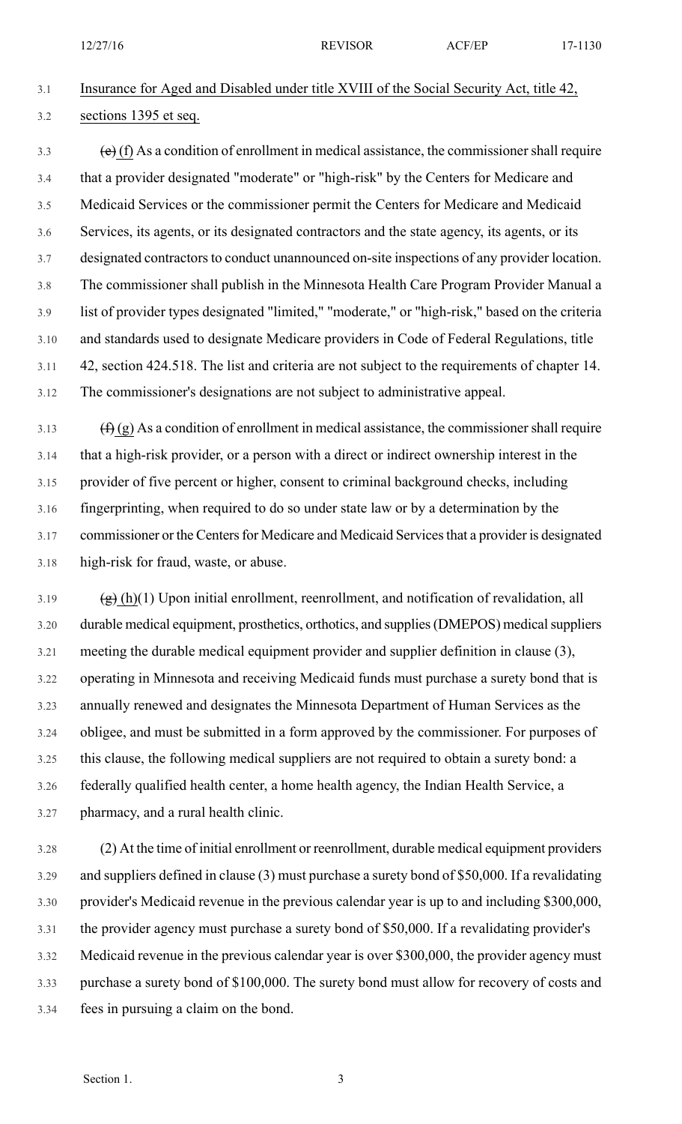12/27/16 **REVISOR ACF/EP** 17-1130

## 3.1 Insurance for Aged and Disabled under title XVIII of the Social Security Act, title 42, 3.2 sections 1395 et seq.

 $\left(\frac{e}{f}\right)$  (f) As a condition of enrollment in medical assistance, the commissioner shall require 3.4 that a provider designated "moderate" or "high-risk" by the Centers for Medicare and 3.5 Medicaid Services or the commissioner permit the Centers for Medicare and Medicaid 3.6 Services, its agents, or its designated contractors and the state agency, its agents, or its 3.7 designated contractors to conduct unannounced on-site inspections of any provider location. 3.8 The commissioner shall publish in the Minnesota Health Care Program Provider Manual a 3.9 list of provider types designated "limited," "moderate," or "high-risk," based on the criteria 3.10 and standards used to designate Medicare providers in Code of Federal Regulations, title 3.11 42, section 424.518. The list and criteria are not subject to the requirements of chapter 14. 3.12 The commissioner's designations are not subject to administrative appeal.

 $3.13$  (f) (g) As a condition of enrollment in medical assistance, the commissioner shall require 3.14 that a high-risk provider, or a person with a direct or indirect ownership interest in the 3.15 provider of five percent or higher, consent to criminal background checks, including 3.16 fingerprinting, when required to do so under state law or by a determination by the 3.17 commissioner or the Centers for Medicare and Medicaid Services that a provider is designated 3.18 high-risk for fraud, waste, or abuse.

 $3.19$  (g) (h)(1) Upon initial enrollment, reenrollment, and notification of revalidation, all 3.20 durable medical equipment, prosthetics, orthotics, and supplies (DMEPOS) medical suppliers 3.21 meeting the durable medical equipment provider and supplier definition in clause (3), 3.22 operating in Minnesota and receiving Medicaid funds must purchase a surety bond that is 3.23 annually renewed and designates the Minnesota Department of Human Services as the 3.24 obligee, and must be submitted in a form approved by the commissioner. For purposes of 3.25 this clause, the following medical suppliers are not required to obtain a surety bond: a 3.26 federally qualified health center, a home health agency, the Indian Health Service, a 3.27 pharmacy, and a rural health clinic.

3.28 (2) At the time of initial enrollment or reenrollment, durable medical equipment providers 3.29 and suppliers defined in clause (3) must purchase a surety bond of \$50,000. If a revalidating 3.30 provider's Medicaid revenue in the previous calendar year is up to and including \$300,000, 3.31 the provider agency must purchase a surety bond of \$50,000. If a revalidating provider's 3.32 Medicaid revenue in the previous calendar year is over \$300,000, the provider agency must 3.33 purchase a surety bond of \$100,000. The surety bond must allow for recovery of costs and 3.34 fees in pursuing a claim on the bond.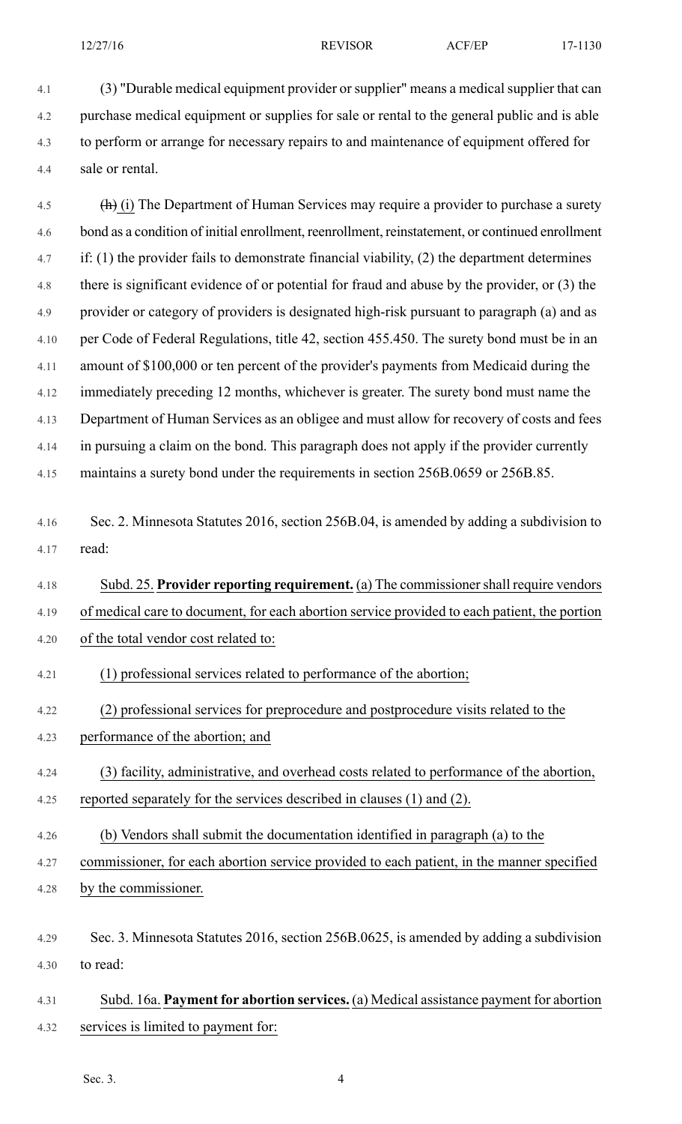4.1 (3) "Durable medical equipment provider or supplier" means a medical supplier that can 4.2 purchase medical equipment or supplies for sale or rental to the general public and is able 4.3 to perform or arrange for necessary repairs to and maintenance of equipment offered for 4.4 sale or rental.

4.5 (h) (i) The Department of Human Services may require a provider to purchase a surety 4.6 bond as a condition of initial enrollment, reenrollment, reinstatement, or continued enrollment 4.7 if: (1) the provider fails to demonstrate financial viability, (2) the department determines 4.8 there is significant evidence of or potential for fraud and abuse by the provider, or (3) the 4.9 provider or category of providers is designated high-risk pursuant to paragraph (a) and as 4.10 per Code of Federal Regulations, title 42, section 455.450. The surety bond must be in an 4.11 amount of \$100,000 or ten percent of the provider's payments from Medicaid during the 4.12 immediately preceding 12 months, whichever is greater. The surety bond must name the 4.13 Department of Human Services as an obligee and must allow for recovery of costs and fees 4.14 in pursuing a claim on the bond. This paragraph does not apply if the provider currently 4.15 maintains a surety bond under the requirements in section 256B.0659 or 256B.85.

4.16 Sec. 2. Minnesota Statutes 2016, section 256B.04, is amended by adding a subdivision to 4.17 read:

4.18 Subd. 25. **Provider reporting requirement.** (a) The commissionershall require vendors 4.19 of medical care to document, for each abortion service provided to each patient, the portion 4.20 of the total vendor cost related to:

- 4.21 (1) professional services related to performance of the abortion;
- 4.22 (2) professional services for preprocedure and postprocedure visits related to the
- 4.23 performance of the abortion; and
- 4.24 (3) facility, administrative, and overhead costs related to performance of the abortion,
- 4.25 reported separately for the services described in clauses (1) and (2).
- 4.26 (b) Vendors shall submit the documentation identified in paragraph (a) to the

4.27 commissioner, for each abortion service provided to each patient, in the manner specified

- 4.28 by the commissioner.
- 4.29 Sec. 3. Minnesota Statutes 2016, section 256B.0625, is amended by adding a subdivision 4.30 to read:
- 4.31 Subd. 16a. **Payment for abortion services.** (a) Medical assistance payment for abortion 4.32 services is limited to payment for:

Sec. 3. 4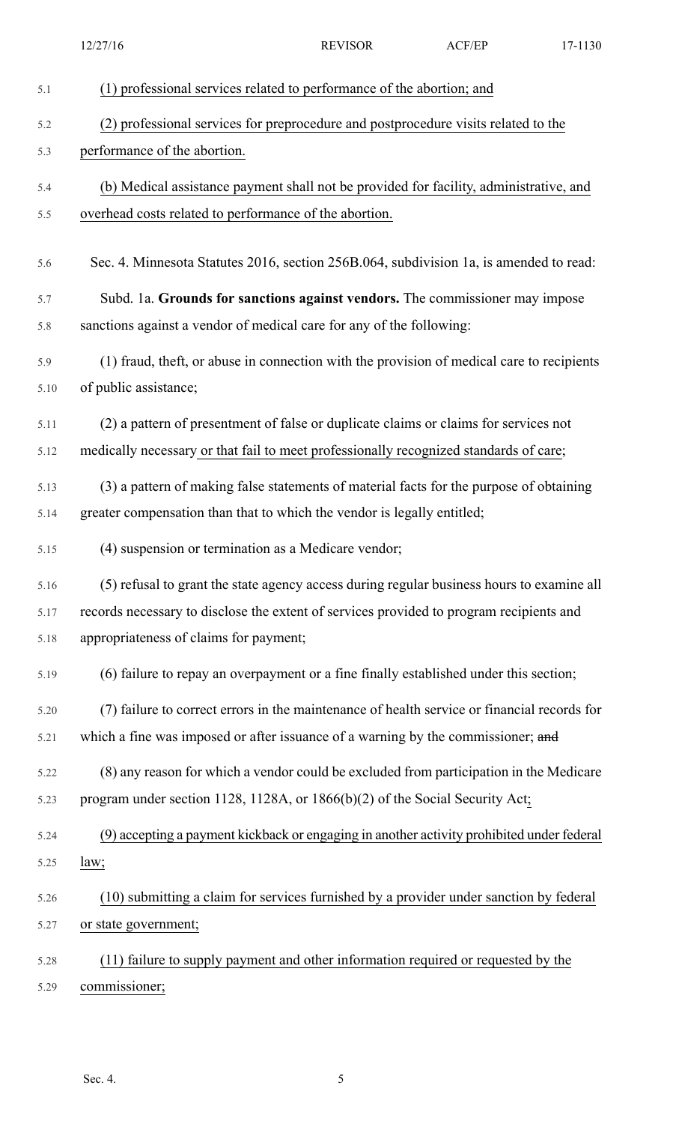|      | 12/27/16                                                                                    | <b>REVISOR</b> | ACF/EP | 17-1130 |
|------|---------------------------------------------------------------------------------------------|----------------|--------|---------|
| 5.1  | (1) professional services related to performance of the abortion; and                       |                |        |         |
| 5.2  | (2) professional services for preprocedure and postprocedure visits related to the          |                |        |         |
| 5.3  | performance of the abortion.                                                                |                |        |         |
| 5.4  | (b) Medical assistance payment shall not be provided for facility, administrative, and      |                |        |         |
| 5.5  | overhead costs related to performance of the abortion.                                      |                |        |         |
| 5.6  | Sec. 4. Minnesota Statutes 2016, section 256B.064, subdivision 1a, is amended to read:      |                |        |         |
| 5.7  | Subd. 1a. Grounds for sanctions against vendors. The commissioner may impose                |                |        |         |
| 5.8  | sanctions against a vendor of medical care for any of the following:                        |                |        |         |
| 5.9  | (1) fraud, theft, or abuse in connection with the provision of medical care to recipients   |                |        |         |
| 5.10 | of public assistance;                                                                       |                |        |         |
| 5.11 | (2) a pattern of presentment of false or duplicate claims or claims for services not        |                |        |         |
| 5.12 | medically necessary or that fail to meet professionally recognized standards of care;       |                |        |         |
| 5.13 | (3) a pattern of making false statements of material facts for the purpose of obtaining     |                |        |         |
| 5.14 | greater compensation than that to which the vendor is legally entitled;                     |                |        |         |
| 5.15 | (4) suspension or termination as a Medicare vendor;                                         |                |        |         |
| 5.16 | (5) refusal to grant the state agency access during regular business hours to examine all   |                |        |         |
| 5.17 | records necessary to disclose the extent of services provided to program recipients and     |                |        |         |
| 5.18 | appropriateness of claims for payment;                                                      |                |        |         |
| 5.19 | (6) failure to repay an overpayment or a fine finally established under this section;       |                |        |         |
| 5.20 | (7) failure to correct errors in the maintenance of health service or financial records for |                |        |         |
| 5.21 | which a fine was imposed or after issuance of a warning by the commissioner; and            |                |        |         |
| 5.22 | (8) any reason for which a vendor could be excluded from participation in the Medicare      |                |        |         |
| 5.23 | program under section 1128, 1128A, or $1866(b)(2)$ of the Social Security Act;              |                |        |         |
| 5.24 | (9) accepting a payment kickback or engaging in another activity prohibited under federal   |                |        |         |
| 5.25 | law;                                                                                        |                |        |         |
| 5.26 | (10) submitting a claim for services furnished by a provider under sanction by federal      |                |        |         |
| 5.27 | or state government;                                                                        |                |        |         |
| 5.28 | (11) failure to supply payment and other information required or requested by the           |                |        |         |
| 5.29 | commissioner;                                                                               |                |        |         |